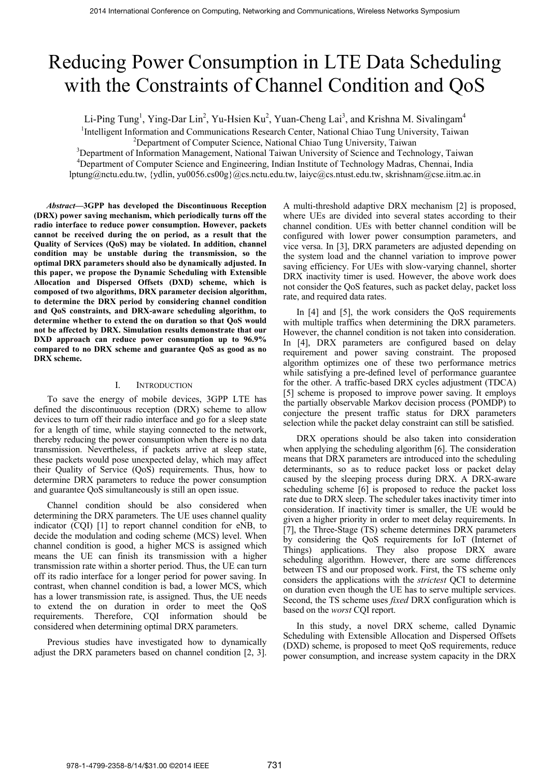# Reducing Power Consumption in LTE Data Scheduling with the Constraints of Channel Condition and QoS

Li-Ping Tung<sup>1</sup>, Ying-Dar Lin<sup>2</sup>, Yu-Hsien Ku<sup>2</sup>, Yuan-Cheng Lai<sup>3</sup>, and Krishna M. Sivalingam<sup>4</sup>

<sup>1</sup>Intelligent Information and Communications Research Center, National Chiao Tung University, Taiwan <sup>2</sup> Department of Commuter Sejones, National Chiao Tung University, Taiwan

<sup>2</sup>Department of Computer Science, National Chiao Tung University, Taiwan

<sup>3</sup>Department of Information Management, National Taiwan University of Science and Technology, Taiwan

<sup>4</sup>Department of Computer Science and Engineering, Indian Institute of Technology Madras, Chennai, India

lptung@nctu.edu.tw, {ydlin, yu0056.cs00g}@cs.nctu.edu.tw, laiyc@cs.ntust.edu.tw, skrishnam@cse.iitm.ac.in

*Abstract***—3GPP has developed the Discontinuous Reception (DRX) power saving mechanism, which periodically turns off the radio interface to reduce power consumption. However, packets cannot be received during the on period, as a result that the Quality of Services (QoS) may be violated. In addition, channel condition may be unstable during the transmission, so the optimal DRX parameters should also be dynamically adjusted. In this paper, we propose the Dynamic Scheduling with Extensible Allocation and Dispersed Offsets (DXD) scheme, which is composed of two algorithms, DRX parameter decision algorithm, to determine the DRX period by considering channel condition and QoS constraints, and DRX-aware scheduling algorithm, to determine whether to extend the on duration so that QoS would not be affected by DRX. Simulation results demonstrate that our DXD approach can reduce power consumption up to 96.9% compared to no DRX scheme and guarantee QoS as good as no DRX scheme.** 

# I. INTRODUCTION

To save the energy of mobile devices, 3GPP LTE has defined the discontinuous reception (DRX) scheme to allow devices to turn off their radio interface and go for a sleep state for a length of time, while staying connected to the network, thereby reducing the power consumption when there is no data transmission. Nevertheless, if packets arrive at sleep state, these packets would pose unexpected delay, which may affect their Quality of Service (QoS) requirements. Thus, how to determine DRX parameters to reduce the power consumption and guarantee QoS simultaneously is still an open issue.

Channel condition should be also considered when determining the DRX parameters. The UE uses channel quality indicator (CQI) [1] to report channel condition for eNB, to decide the modulation and coding scheme (MCS) level. When channel condition is good, a higher MCS is assigned which means the UE can finish its transmission with a higher transmission rate within a shorter period. Thus, the UE can turn off its radio interface for a longer period for power saving. In contrast, when channel condition is bad, a lower MCS, which has a lower transmission rate, is assigned. Thus, the UE needs to extend the on duration in order to meet the QoS requirements. Therefore, CQI information should be considered when determining optimal DRX parameters.

Previous studies have investigated how to dynamically adjust the DRX parameters based on channel condition [2, 3].

A multi-threshold adaptive DRX mechanism [2] is proposed, where UEs are divided into several states according to their channel condition. UEs with better channel condition will be configured with lower power consumption parameters, and vice versa. In [3], DRX parameters are adjusted depending on the system load and the channel variation to improve power saving efficiency. For UEs with slow-varying channel, shorter DRX inactivity timer is used. However, the above work does not consider the QoS features, such as packet delay, packet loss rate, and required data rates.

In [4] and [5], the work considers the QoS requirements with multiple traffics when determining the DRX parameters. However, the channel condition is not taken into consideration. In [4], DRX parameters are configured based on delay requirement and power saving constraint. The proposed algorithm optimizes one of these two performance metrics while satisfying a pre-defined level of performance guarantee for the other. A traffic-based DRX cycles adjustment (TDCA) [5] scheme is proposed to improve power saving. It employs the partially observable Markov decision process (POMDP) to conjecture the present traffic status for DRX parameters selection while the packet delay constraint can still be satisfied.

DRX operations should be also taken into consideration when applying the scheduling algorithm [6]. The consideration means that DRX parameters are introduced into the scheduling determinants, so as to reduce packet loss or packet delay caused by the sleeping process during DRX. A DRX-aware scheduling scheme [6] is proposed to reduce the packet loss rate due to DRX sleep. The scheduler takes inactivity timer into consideration. If inactivity timer is smaller, the UE would be given a higher priority in order to meet delay requirements. In [7], the Three-Stage (TS) scheme determines DRX parameters by considering the QoS requirements for IoT (Internet of Things) applications. They also propose DRX aware scheduling algorithm. However, there are some differences between TS and our proposed work. First, the TS scheme only considers the applications with the *strictest* QCI to determine on duration even though the UE has to serve multiple services. Second, the TS scheme uses *fixed* DRX configuration which is based on the *worst* CQI report.

In this study, a novel DRX scheme, called Dynamic Scheduling with Extensible Allocation and Dispersed Offsets (DXD) scheme, is proposed to meet QoS requirements, reduce power consumption, and increase system capacity in the DRX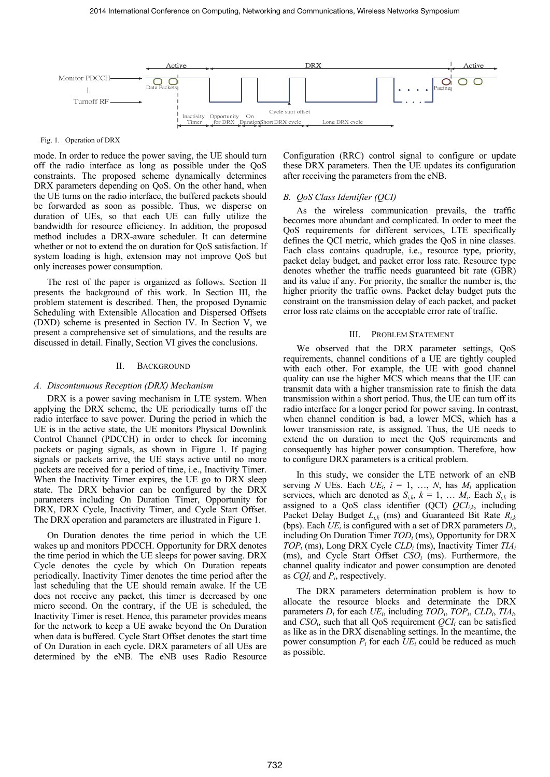

## Fig. 1. Operation of DRX

mode. In order to reduce the power saving, the UE should turn off the radio interface as long as possible under the QoS constraints. The proposed scheme dynamically determines DRX parameters depending on QoS. On the other hand, when the UE turns on the radio interface, the buffered packets should be forwarded as soon as possible. Thus, we disperse on duration of UEs, so that each UE can fully utilize the bandwidth for resource efficiency. In addition, the proposed method includes a DRX-aware scheduler. It can determine whether or not to extend the on duration for QoS satisfaction. If system loading is high, extension may not improve QoS but only increases power consumption.

The rest of the paper is organized as follows. Section II presents the background of this work. In Section III, the problem statement is described. Then, the proposed Dynamic Scheduling with Extensible Allocation and Dispersed Offsets (DXD) scheme is presented in Section IV. In Section V, we present a comprehensive set of simulations, and the results are discussed in detail. Finally, Section VI gives the conclusions.

# II. BACKGROUND

# *A. Discontunuous Reception (DRX) Mechanism*

DRX is a power saving mechanism in LTE system. When applying the DRX scheme, the UE periodically turns off the radio interface to save power. During the period in which the UE is in the active state, the UE monitors Physical Downlink Control Channel (PDCCH) in order to check for incoming packets or paging signals, as shown in Figure 1. If paging signals or packets arrive, the UE stays active until no more packets are received for a period of time, i.e., Inactivity Timer. When the Inactivity Timer expires, the UE go to DRX sleep state. The DRX behavior can be configured by the DRX parameters including On Duration Timer, Opportunity for DRX, DRX Cycle, Inactivity Timer, and Cycle Start Offset. The DRX operation and parameters are illustrated in Figure 1.

On Duration denotes the time period in which the UE wakes up and monitors PDCCH. Opportunity for DRX denotes the time period in which the UE sleeps for power saving. DRX Cycle denotes the cycle by which On Duration repeats periodically. Inactivity Timer denotes the time period after the last scheduling that the UE should remain awake. If the UE does not receive any packet, this timer is decreased by one micro second. On the contrary, if the UE is scheduled, the Inactivity Timer is reset. Hence, this parameter provides means for the network to keep a UE awake beyond the On Duration when data is buffered. Cycle Start Offset denotes the start time of On Duration in each cycle. DRX parameters of all UEs are determined by the eNB. The eNB uses Radio Resource

Configuration (RRC) control signal to configure or update these DRX parameters. Then the UE updates its configuration after receiving the parameters from the eNB.

## *B. QoS Class Identifier (QCI)*

As the wireless communication prevails, the traffic becomes more abundant and complicated. In order to meet the QoS requirements for different services, LTE specifically defines the QCI metric, which grades the QoS in nine classes. Each class contains quadruple, i.e., resource type, priority, packet delay budget, and packet error loss rate. Resource type denotes whether the traffic needs guaranteed bit rate (GBR) and its value if any. For priority, the smaller the number is, the higher priority the traffic owns. Packet delay budget puts the constraint on the transmission delay of each packet, and packet error loss rate claims on the acceptable error rate of traffic.

#### III. PROBLEM STATEMENT

We observed that the DRX parameter settings, QoS requirements, channel conditions of a UE are tightly coupled with each other. For example, the UE with good channel quality can use the higher MCS which means that the UE can transmit data with a higher transmission rate to finish the data transmission within a short period. Thus, the UE can turn off its radio interface for a longer period for power saving. In contrast, when channel condition is bad, a lower MCS, which has a lower transmission rate, is assigned. Thus, the UE needs to extend the on duration to meet the QoS requirements and consequently has higher power consumption. Therefore, how to configure DRX parameters is a critical problem.

In this study, we consider the LTE network of an eNB serving *N* UEs. Each  $UE_i$ ,  $i = 1, ..., N$ , has  $M_i$  application services, which are denoted as  $S_{i,k}$ ,  $k = 1, \ldots M_i$ . Each  $S_{i,k}$  is assigned to a QoS class identifier (QCI)  $QCI_{i,k}$ , including Packet Delay Budget *Li,k* (ms) and Guaranteed Bit Rate *Ri,k* (bps). Each  $UE_i$  is configured with a set of DRX parameters  $D_i$ , including On Duration Timer *TODi* (ms), Opportunity for DRX *TOPi* (ms), Long DRX Cycle *CLDi* (ms), Inactivity Timer *TIAi* (ms), and Cycle Start Offset *CSO<sub>i</sub>* (ms). Furthermore, the channel quality indicator and power consumption are denoted as  $CQI_i$  and  $P_i$ , respectively.

The DRX parameters determination problem is how to allocate the resource blocks and determinate the DRX parameters *Di* for each *UEi*, including *TODi*, *TOPi*, *CLDi*, *TIAi*, and  $CSO_i$ , such that all QoS requirement  $QCI_i$  can be satisfied as like as in the DRX disenabling settings. In the meantime, the power consumption *Pi* for each *UEi* could be reduced as much as possible.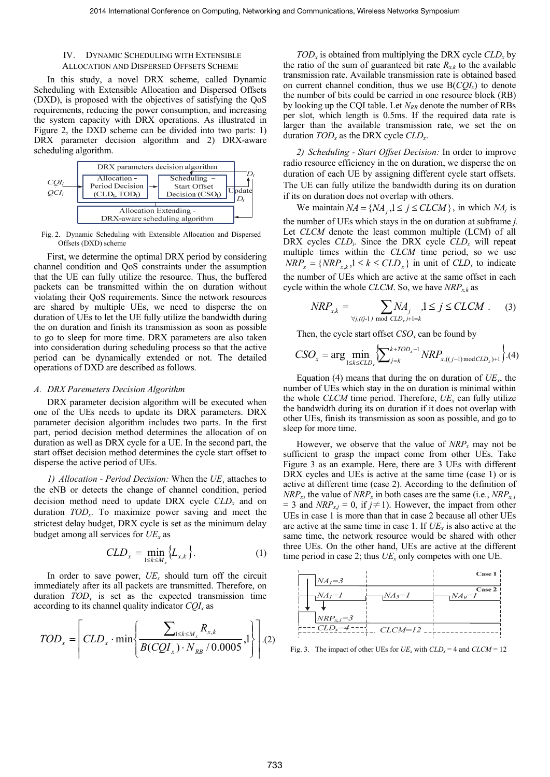# IV. DYNAMIC SCHEDULING WITH EXTENSIBLE ALLOCATION AND DISPERSED OFFSETS SCHEME

In this study, a novel DRX scheme, called Dynamic Scheduling with Extensible Allocation and Dispersed Offsets (DXD), is proposed with the objectives of satisfying the QoS requirements, reducing the power consumption, and increasing the system capacity with DRX operations. As illustrated in Figure 2, the DXD scheme can be divided into two parts: 1) DRX parameter decision algorithm and 2) DRX-aware scheduling algorithm.



Fig. 2. Dynamic Scheduling with Extensible Allocation and Dispersed Offsets (DXD) scheme

First, we determine the optimal DRX period by considering channel condition and QoS constraints under the assumption that the UE can fully utilize the resource. Thus, the buffered packets can be transmitted within the on duration without violating their QoS requirements. Since the network resources are shared by multiple UEs, we need to disperse the on duration of UEs to let the UE fully utilize the bandwidth during the on duration and finish its transmission as soon as possible to go to sleep for more time. DRX parameters are also taken into consideration during scheduling process so that the active period can be dynamically extended or not. The detailed operations of DXD are described as follows.

## *A. DRX Paremeters Decision Algorithm*

DRX parameter decision algorithm will be executed when one of the UEs needs to update its DRX parameters. DRX parameter decision algorithm includes two parts. In the first part, period decision method determines the allocation of on duration as well as DRX cycle for a UE. In the second part, the start offset decision method determines the cycle start offset to disperse the active period of UEs.

*1) Allocation - Period Decision:* When the  $UE_x$  attaches to the eNB or detects the change of channel condition, period decision method need to update DRX cycle *CLDx* and on duration *TODx*. To maximize power saving and meet the strictest delay budget, DRX cycle is set as the minimum delay budget among all services for  $UE<sub>x</sub>$  as

$$
CLD_x = \min_{1 \le k \le M_x} \{L_{x,k}\}.
$$
 (1)

In order to save power,  $UE_x$  should turn off the circuit immediately after its all packets are transmitted. Therefore, on duration  $TOD_x$  is set as the expected transmission time according to its channel quality indicator  $COI<sub>x</sub>$  as

$$
TOD_x = \left[ CLD_x \cdot \min\left\{ \frac{\sum_{1 \le k \le M_x} R_{x,k}}{B(CQI_x) \cdot N_{RB} / 0.0005}, 1 \right\} \right].(2)
$$

 $TOD_x$  is obtained from multiplying the DRX cycle  $CLD_x$  by the ratio of the sum of guaranteed bit rate  $R_{x,k}$  to the available transmission rate. Available transmission rate is obtained based on current channel condition, thus we use  $B(CQI<sub>x</sub>)$  to denote the number of bits could be carried in one resource block (RB) by looking up the CQI table. Let *N<sub>RB</sub>* denote the number of RBs per slot, which length is 0.5ms. If the required data rate is larger than the available transmission rate, we set the on duration *TODx* as the DRX cycle *CLDx*.

*2) Scheduling - Start Offset Decision:* In order to improve radio resource efficiency in the on duration, we disperse the on duration of each UE by assigning different cycle start offsets. The UE can fully utilize the bandwidth during its on duration if its on duration does not overlap with others.

We maintain  $NA = \{NA_j, 1 \le j \le CLCM\}$ , in which  $NA_j$  is the number of UEs which stays in the on duration at subframe *j.* Let *CLCM* denote the least common multiple (LCM) of all DRX cycles *CLD<sub>i</sub>*. Since the DRX cycle *CLD<sub>x</sub>* will repeat multiple times within the *CLCM* time period, so we use  $NRP_x = \{NRP_{x,k}, 1 \le k \le CLD_x\}$  in unit of  $CLD_x$  to indicate the number of UEs which are active at the same offset in each cycle within the whole *CLCM*. So, we have  $NRP_{x,k}$  as

$$
NRP_{x,k} = \sum_{\forall j, (j-1) \text{ mod } CLD_x \to 1=k} NA_j, 1 \le j \le CLCM.
$$
 (3)

Then, the cycle start offset  $CSO_x$  can be found by

$$
CSO_x = \arg\min_{1 \le k \le CLD_x} \left\{ \sum_{j=k}^{k+7OD_x-1} NRP_{x,((j-1) \text{ mod } CLD_x)+1} \right\} . (4)
$$

Equation (4) means that during the on duration of  $UE<sub>x</sub>$ , the number of UEs which stay in the on duration is minimal within the whole *CLCM* time period. Therefore,  $UE_x$  can fully utilize the bandwidth during its on duration if it does not overlap with other UEs, finish its transmission as soon as possible, and go to sleep for more time.

However, we observe that the value of  $NRP_x$  may not be sufficient to grasp the impact come from other UEs. Take Figure 3 as an example. Here, there are 3 UEs with different DRX cycles and UEs is active at the same time (case 1) or is active at different time (case 2). According to the definition of  $NRP_x$ , the value of  $NRP_x$  in both cases are the same (i.e.,  $NRP_{x,l}$ ) = 3 and *NRP<sub>xj</sub>* = 0, if  $j \neq 1$ ). However, the impact from other UEs in case 1 is more than that in case 2 because all other UEs are active at the same time in case 1. If  $UE_x$  is also active at the same time, the network resource would be shared with other three UEs. On the other hand, UEs are active at the different time period in case 2; thus  $UE<sub>x</sub>$  only competes with one UE.



Fig. 3. The impact of other UEs for  $UE_x$  with  $CLD_x = 4$  and  $CLCM = 12$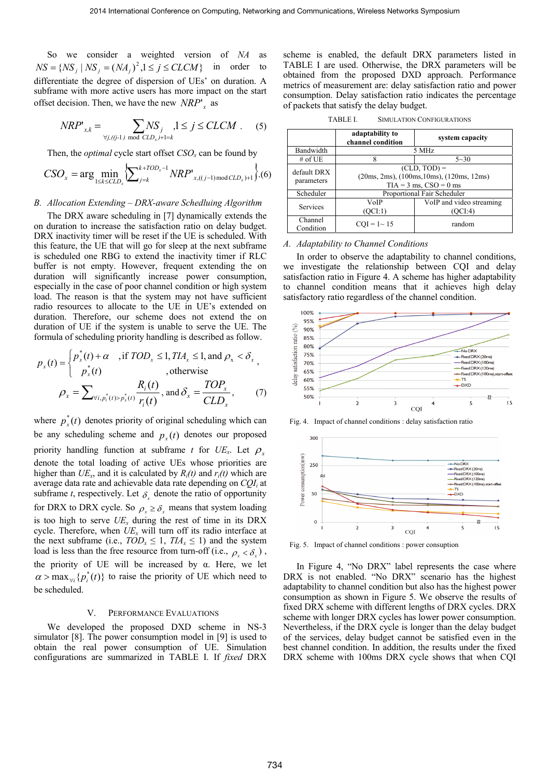So we consider a weighted version of *NA* as  $NS = \{NS_i | NS_i = (NA_i)^2, 1 \le j \le CLCM\}$  in order to differentiate the degree of dispersion of UEs' on duration. A subframe with more active users has more impact on the start offset decision. Then, we have the new  $NRP'_{x}$  as

$$
NRP'_{x,k} = \sum_{\forall j, ((j-1) \mod CLD_x)+1=k} NS_j, 1 \le j \le CLCM.
$$
 (5)

Then, the *optimal* cycle start offset  $CSO<sub>x</sub>$  can be found by

$$
CSO_x = \arg\min_{1 \le k \le CLD_x} \left\{ \sum_{j=k}^{k+TOD_x - 1} NRP'_{x, ((j-1) \text{ mod } CLD_x) + 1} \right\} . (6)
$$

#### *B. Allocation Extending – DRX-aware Schedluing Algorithm*

The DRX aware scheduling in [7] dynamically extends the on duration to increase the satisfaction ratio on delay budget. DRX inactivity timer will be reset if the UE is scheduled. With this feature, the UE that will go for sleep at the next subframe is scheduled one RBG to extend the inactivity timer if RLC buffer is not empty. However, frequent extending the on duration will significantly increase power consumption, especially in the case of poor channel condition or high system load. The reason is that the system may not have sufficient radio resources to allocate to the UE in UE's extended on duration. Therefore, our scheme does not extend the on duration of UE if the system is unable to serve the UE. The formula of scheduling priority handling is described as follow.

$$
p_x(t) = \begin{cases} p_x^*(t) + \alpha & \text{, if } TOD_x \le 1, TIA_x \le 1, \text{ and } \rho_x < \delta_x \\ p_x^*(t) & \text{, otherwise} \end{cases}
$$
\n
$$
\rho_x = \sum_{\forall i, p_i^*(t) > p_x^*(t)} \frac{R_i(t)}{r_i(t)}, \text{ and } \delta_x = \frac{TOP_x}{CLD_x}, \tag{7}
$$

where  $p^*_{\nu}(t)$  denotes priority of original scheduling which can be any scheduling scheme and  $p<sub>x</sub>(t)$  denotes our proposed priority handling function at subframe *t* for  $UE_x$ . Let  $\rho_x$ denote the total loading of active UEs whose priorities are higher than  $UE<sub>x</sub>$ , and it is calculated by  $R<sub>i</sub>(t)$  and  $r<sub>i</sub>(t)$  which are average data rate and achievable data rate depending on *CQI<sub>i</sub>* at subframe *t*, respectively. Let  $\delta$ <sub>x</sub> denote the ratio of opportunity for DRX to DRX cycle. So  $\rho_x \geq \delta_x$  means that system loading is too high to serve  $UE<sub>x</sub>$  during the rest of time in its DRX cycle. Therefore, when  $UE<sub>x</sub>$  will turn off its radio interface at the next subframe (i.e.,  $TOD_x \le 1$ ,  $TIA_x \le 1$ ) and the system load is less than the free resource from turn-off (i.e.,  $\rho_{\rm x} < \delta_{\rm x}$ ), the priority of UE will be increased by  $\alpha$ . Here, we let  $\alpha$  > max<sub> $\forall i$ </sub> { $p_i^*(t)$ } to raise the priority of UE which need to be scheduled.

## V. PERFORMANCE EVALUATIONS

We developed the proposed DXD scheme in NS-3 simulator [8]. The power consumption model in [9] is used to obtain the real power consumption of UE. Simulation configurations are summarized in TABLE I. If *fixed* DRX

scheme is enabled, the default DRX parameters listed in TABLE I are used. Otherwise, the DRX parameters will be obtained from the proposed DXD approach. Performance metrics of measurement are: delay satisfaction ratio and power consumption. Delay satisfaction ratio indicates the percentage of packets that satisfy the delay budget.

TABLE I. SIMULATION CONFIGURATIONS

|                           | adaptability to<br>channel condition                                                        | system capacity                   |
|---------------------------|---------------------------------------------------------------------------------------------|-----------------------------------|
| Bandwidth                 | 5 MHz                                                                                       |                                   |
| # of $UE$                 | 8                                                                                           | $5 - 30$                          |
| default DRX<br>parameters | $(CLD, TOD) =$<br>$(20ms, 2ms), (100ms, 10ms), (120ms, 12ms)$<br>$TIA = 3$ ms, $CSO = 0$ ms |                                   |
| Scheduler                 | Proportional Fair Scheduler                                                                 |                                   |
| <b>Services</b>           | VoIP<br>(OCI:1)                                                                             | VoIP and video streaming<br>OCI:4 |
| Channel<br>Condition      | $CQI = 1 \sim 15$                                                                           | random                            |

#### *A. Adaptability to Channel Conditions*

In order to observe the adaptability to channel conditions, we investigate the relationship between CQI and delay satisfaction ratio in Figure 4. A scheme has higher adaptability to channel condition means that it achieves high delay satisfactory ratio regardless of the channel condition.



Fig. 4. Impact of channel conditions : delay satisfaction ratio



Fig. 5. Impact of channel conditions : power consuption

In Figure 4, "No DRX" label represents the case where DRX is not enabled. "No DRX" scenario has the highest adaptability to channel condition but also has the highest power consumption as shown in Figure 5. We observe the results of fixed DRX scheme with different lengths of DRX cycles. DRX scheme with longer DRX cycles has lower power consumption. Nevertheless, if the DRX cycle is longer than the delay budget of the services, delay budget cannot be satisfied even in the best channel condition. In addition, the results under the fixed DRX scheme with 100ms DRX cycle shows that when CQI